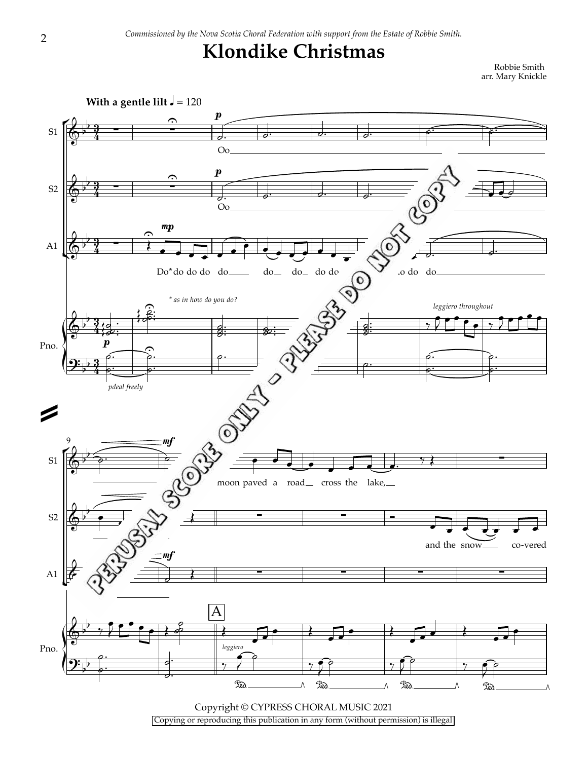## **Klondike Christmas**

Robbie Smith arr. Mary Knickle



Copying or reproducing this publication in any form (without permission) is illegal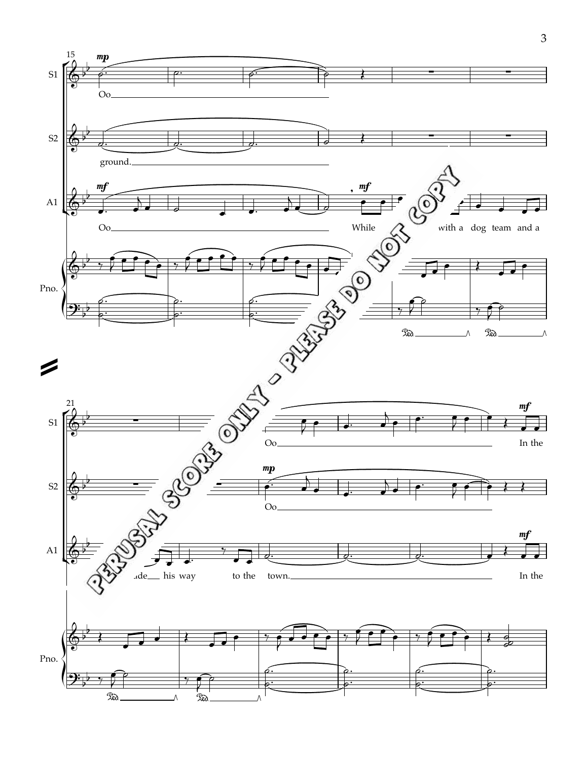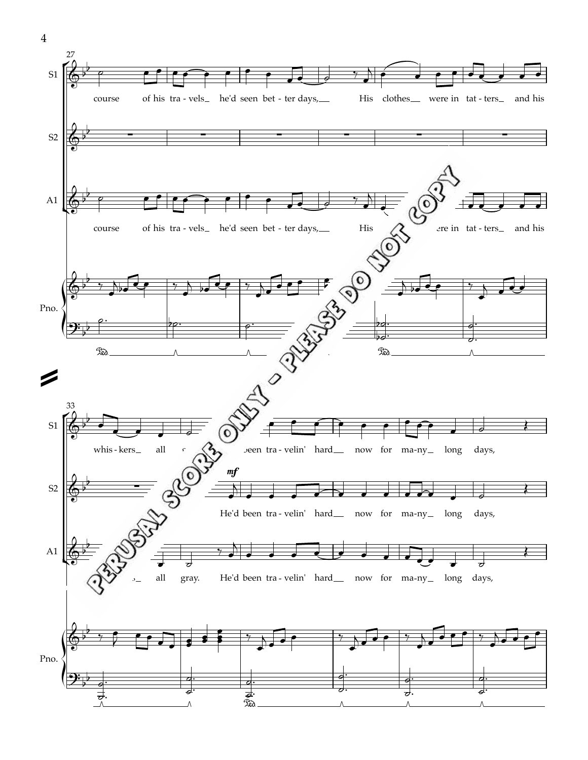

<sup>4</sup>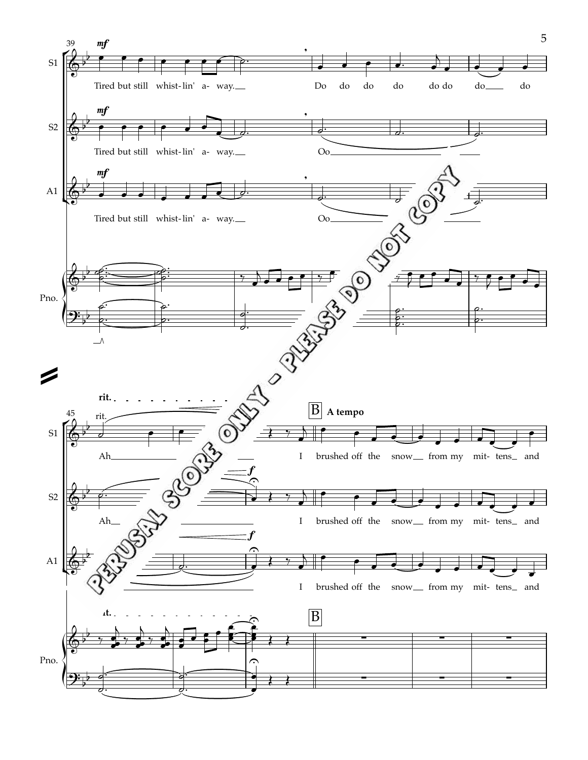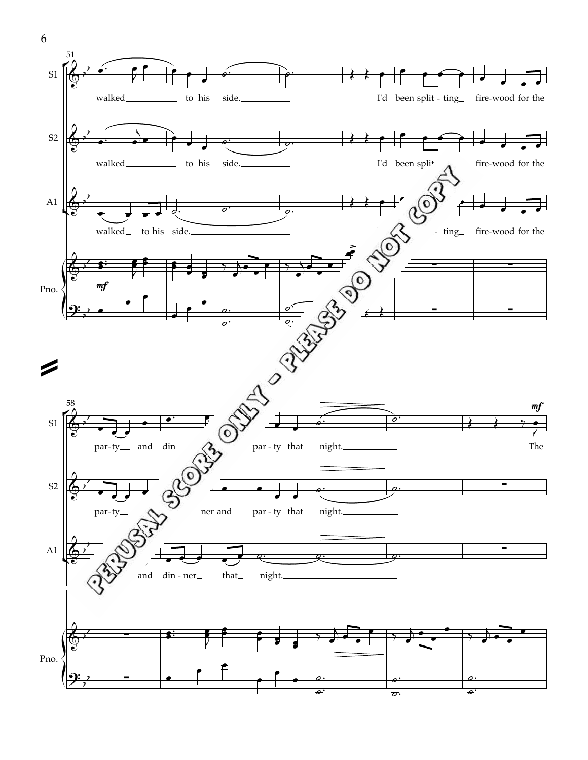

6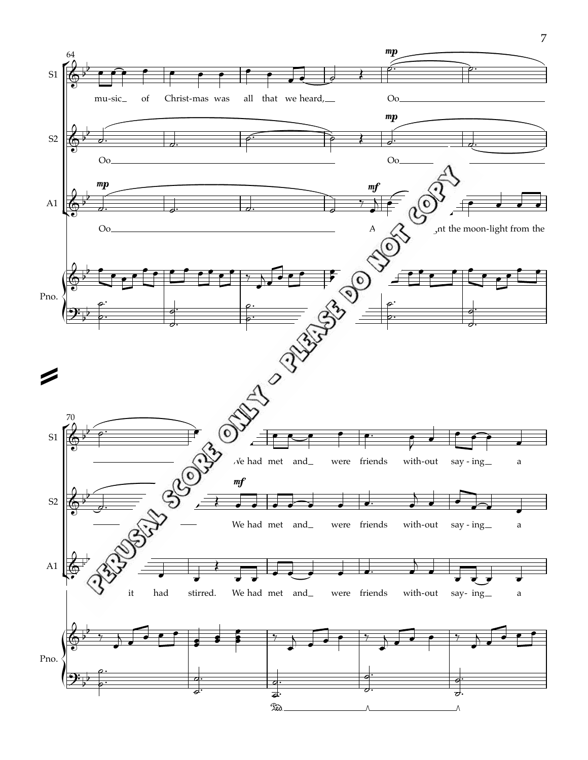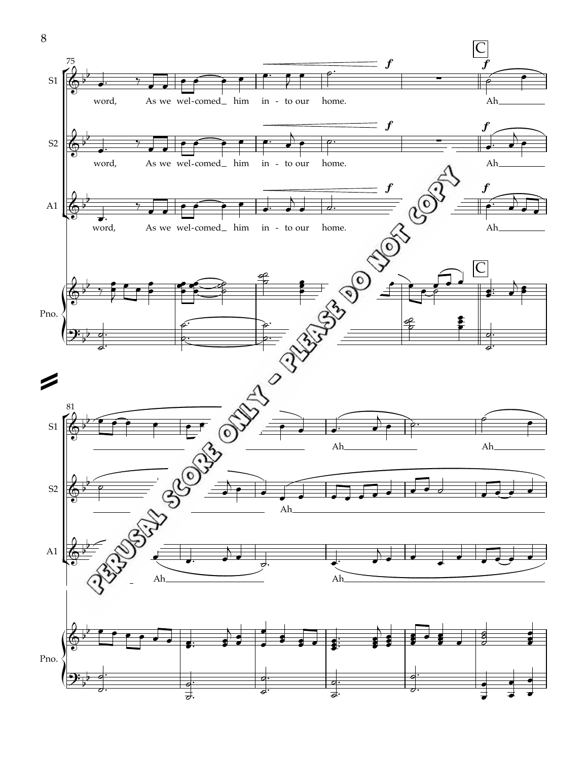

8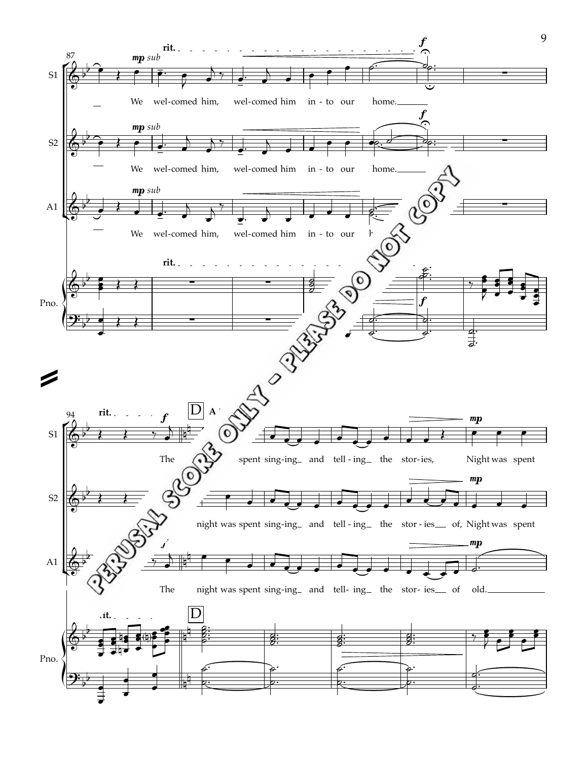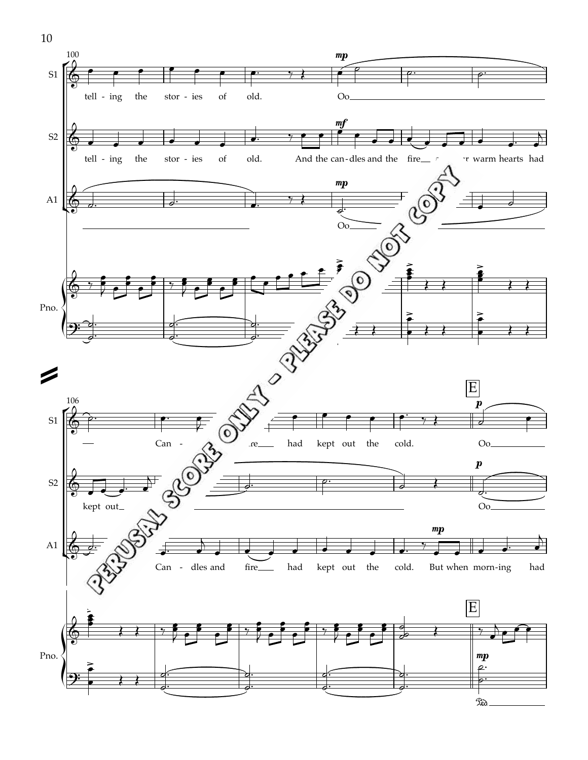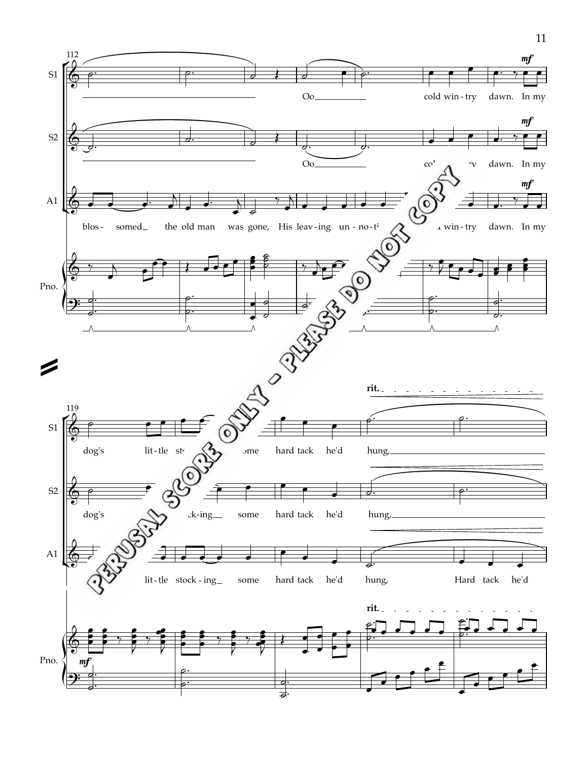